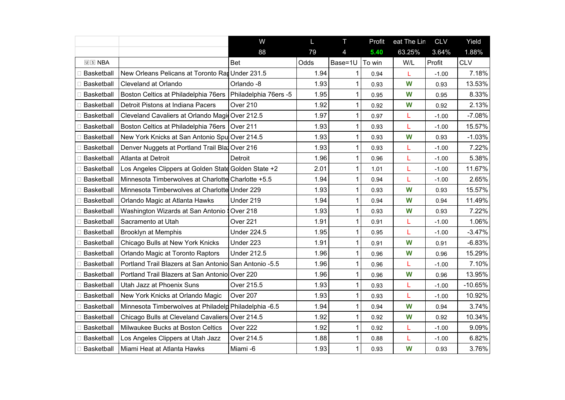|                   |                                                        | W                     | L    | т            | Profit | eat The Lin | <b>CLV</b> | Yield      |
|-------------------|--------------------------------------------------------|-----------------------|------|--------------|--------|-------------|------------|------------|
|                   |                                                        | 88                    | 79   | 4            | 5.40   | 63.25%      | 3.64%      | 1.88%      |
| $IIIS$ NBA        |                                                        | <b>Bet</b>            | Odds | Base=1U      | To win | W/L         | Profit     | <b>CLV</b> |
| <b>Basketball</b> | New Orleans Pelicans at Toronto Rad Under 231.5        |                       | 1.94 |              | 0.94   | L           | $-1.00$    | 7.18%      |
| □ Basketball      | Cleveland at Orlando                                   | Orlando -8            | 1.93 | 1            | 0.93   | W           | 0.93       | 13.53%     |
| □ Basketball      | Boston Celtics at Philadelphia 76ers                   | Philadelphia 76ers -5 | 1.95 | 1            | 0.95   | W           | 0.95       | 8.33%      |
| Basketball        | Detroit Pistons at Indiana Pacers                      | Over 210              | 1.92 | 1            | 0.92   | W           | 0.92       | 2.13%      |
| □ Basketball      | Cleveland Cavaliers at Orlando Magid Over 212.5        |                       | 1.97 | 1            | 0.97   | L           | $-1.00$    | $-7.08%$   |
| □ Basketball      | Boston Celtics at Philadelphia 76ers   Over 211        |                       | 1.93 | 1            | 0.93   | L           | $-1.00$    | 15.57%     |
| □ Basketball      | New York Knicks at San Antonio Spu Over 214.5          |                       | 1.93 | 1            | 0.93   | W           | 0.93       | $-1.03%$   |
| Basketball        | Denver Nuggets at Portland Trail Blaz Over 216         |                       | 1.93 | 1            | 0.93   | L           | $-1.00$    | 7.22%      |
| □ Basketball      | Atlanta at Detroit                                     | Detroit               | 1.96 | $\mathbf{1}$ | 0.96   | L           | $-1.00$    | 5.38%      |
| □ Basketball      | Los Angeles Clippers at Golden State Golden State +2   |                       | 2.01 | 1            | 1.01   | L           | $-1.00$    | 11.67%     |
| Basketball        | Minnesota Timberwolves at Charlotte Charlotte +5.5     |                       | 1.94 | 1            | 0.94   | L           | $-1.00$    | 2.65%      |
| □ Basketball      | Minnesota Timberwolves at Charlotte Under 229          |                       | 1.93 | 1            | 0.93   | W           | 0.93       | 15.57%     |
| □ Basketball      | Orlando Magic at Atlanta Hawks                         | Under 219             | 1.94 | 1            | 0.94   | W           | 0.94       | 11.49%     |
| □ Basketball      | Washington Wizards at San Antonio \ Over 218           |                       | 1.93 | 1            | 0.93   | W           | 0.93       | 7.22%      |
| □ Basketball      | Sacramento at Utah                                     | Over 221              | 1.91 | 1            | 0.91   | L           | $-1.00$    | 1.06%      |
| □ Basketball      | <b>Brooklyn at Memphis</b>                             | <b>Under 224.5</b>    | 1.95 | 1            | 0.95   | L           | $-1.00$    | $-3.47%$   |
| □ Basketball      | Chicago Bulls at New York Knicks                       | Under 223             | 1.91 | 1            | 0.91   | W           | 0.91       | $-6.83%$   |
| □ Basketball      | Orlando Magic at Toronto Raptors                       | <b>Under 212.5</b>    | 1.96 | 1            | 0.96   | W           | 0.96       | 15.29%     |
| □ Basketball      | Portland Trail Blazers at San Antonio San Antonio -5.5 |                       | 1.96 | 1            | 0.96   | L           | $-1.00$    | 7.10%      |
| <b>Basketball</b> | Portland Trail Blazers at San Antonio Over 220         |                       | 1.96 | 1            | 0.96   | W           | 0.96       | 13.95%     |
| □ Basketball      | Utah Jazz at Phoenix Suns                              | Over 215.5            | 1.93 | $\mathbf{1}$ | 0.93   | L           | $-1.00$    | $-10.65%$  |
| <b>Basketball</b> | New York Knicks at Orlando Magic                       | Over 207              | 1.93 | 1            | 0.93   | L           | $-1.00$    | 10.92%     |
| □ Basketball      | Minnesota Timberwolves at Philadelp Philadelphia -6.5  |                       | 1.94 | 1            | 0.94   | W           | 0.94       | 3.74%      |
| □ Basketball      | Chicago Bulls at Cleveland Cavaliers Over 214.5        |                       | 1.92 | 1            | 0.92   | W           | 0.92       | 10.34%     |
| Basketball        | Milwaukee Bucks at Boston Celtics                      | Over 222              | 1.92 | 1            | 0.92   | L           | $-1.00$    | 9.09%      |
| □ Basketball      | Los Angeles Clippers at Utah Jazz                      | Over 214.5            | 1.88 | 1            | 0.88   | L           | $-1.00$    | 6.82%      |
| □ Basketball      | Miami Heat at Atlanta Hawks                            | Miami -6              | 1.93 | 1            | 0.93   | W           | 0.93       | 3.76%      |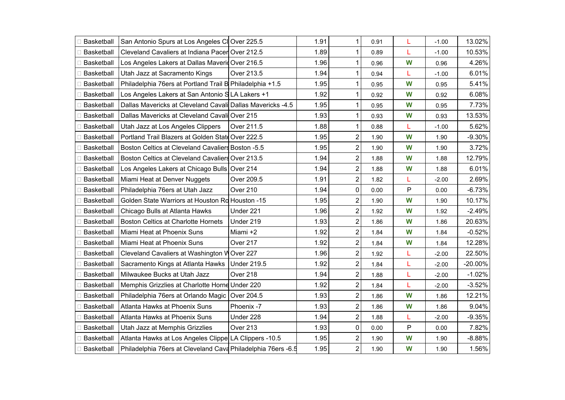| □ Basketball      | San Antonio Spurs at Los Angeles CI Over 225.5               |                    | 1.91 | $\mathbf{1}$   | 0.91 | L | $-1.00$ | 13.02%     |
|-------------------|--------------------------------------------------------------|--------------------|------|----------------|------|---|---------|------------|
| Basketball        | Cleveland Cavaliers at Indiana Pacer Over 212.5              |                    | 1.89 | 1              | 0.89 | L | $-1.00$ | 10.53%     |
| □ Basketball      | Los Angeles Lakers at Dallas Maverid Over 216.5              |                    | 1.96 | 1              | 0.96 | W | 0.96    | 4.26%      |
| □ Basketball      | Utah Jazz at Sacramento Kings                                | Over 213.5         | 1.94 | 1              | 0.94 | L | $-1.00$ | 6.01%      |
| □ Basketball      | Philadelphia 76ers at Portland Trail B Philadelphia +1.5     |                    | 1.95 | 1              | 0.95 | W | 0.95    | 5.41%      |
| Basketball        | Los Angeles Lakers at San Antonio S LA Lakers +1             |                    | 1.92 | 1              | 0.92 | W | 0.92    | 6.08%      |
| □ Basketball      | Dallas Mavericks at Cleveland Cavali Dallas Mavericks -4.5   |                    | 1.95 | 1              | 0.95 | W | 0.95    | 7.73%      |
| Basketball        | Dallas Mavericks at Cleveland Cavali Over 215                |                    | 1.93 | 1              | 0.93 | W | 0.93    | 13.53%     |
| □ Basketball      | Utah Jazz at Los Angeles Clippers                            | Over 211.5         | 1.88 | 1              | 0.88 | L | $-1.00$ | 5.62%      |
| Basketball        | Portland Trail Blazers at Golden State Over 222.5            |                    | 1.95 | $\overline{2}$ | 1.90 | W | 1.90    | $-9.30%$   |
| Basketball        | Boston Celtics at Cleveland Cavaliers Boston -5.5            |                    | 1.95 | $\overline{2}$ | 1.90 | W | 1.90    | 3.72%      |
| <b>Basketball</b> | Boston Celtics at Cleveland Cavaliers Over 213.5             |                    | 1.94 | $\overline{2}$ | 1.88 | W | 1.88    | 12.79%     |
| □ Basketball      | Los Angeles Lakers at Chicago Bulls Over 214                 |                    | 1.94 | $\overline{2}$ | 1.88 | W | 1.88    | 6.01%      |
| <b>Basketball</b> | Miami Heat at Denver Nuggets                                 | Over 209.5         | 1.91 | $\overline{2}$ | 1.82 | L | $-2.00$ | 2.69%      |
| Basketball        | Philadelphia 76ers at Utah Jazz                              | Over 210           | 1.94 | 0              | 0.00 | Ρ | 0.00    | $-6.73%$   |
| □ Basketball      | Golden State Warriors at Houston Rd Houston -15              |                    | 1.95 | $\overline{2}$ | 1.90 | W | 1.90    | 10.17%     |
| □ Basketball      | Chicago Bulls at Atlanta Hawks                               | Under 221          | 1.96 | $\overline{2}$ | 1.92 | W | 1.92    | $-2.49%$   |
| Basketball        | <b>Boston Celtics at Charlotte Hornets</b>                   | Under 219          | 1.93 | $\overline{2}$ | 1.86 | W | 1.86    | 20.63%     |
| □ Basketball      | Miami Heat at Phoenix Suns                                   | Miami +2           | 1.92 | $\overline{2}$ | 1.84 | W | 1.84    | $-0.52%$   |
| Basketball        | Miami Heat at Phoenix Suns                                   | Over 217           | 1.92 | $\overline{2}$ | 1.84 | W | 1.84    | 12.28%     |
| □ Basketball      | Cleveland Cavaliers at Washington WOver 227                  |                    | 1.96 | $\overline{2}$ | 1.92 | L | $-2.00$ | 22.50%     |
| Basketball        | Sacramento Kings at Atlanta Hawks                            | <b>Under 219.5</b> | 1.92 | $\overline{2}$ | 1.84 | L | $-2.00$ | $-20.00\%$ |
| □ Basketball      | Milwaukee Bucks at Utah Jazz                                 | Over 218           | 1.94 | $\overline{2}$ | 1.88 | L | $-2.00$ | $-1.02%$   |
| Basketball        | Memphis Grizzlies at Charlotte Horne Under 220               |                    | 1.92 | $\overline{2}$ | 1.84 | L | $-2.00$ | $-3.52%$   |
| □ Basketball      | Philadelphia 76ers at Orlando Magic   Over 204.5             |                    | 1.93 | $\overline{2}$ | 1.86 | W | 1.86    | 12.21%     |
| Basketball        | Atlanta Hawks at Phoenix Suns                                | Phoenix -7         | 1.93 | $\overline{2}$ | 1.86 | W | 1.86    | 9.04%      |
| □ Basketball      | Atlanta Hawks at Phoenix Suns                                | Under 228          | 1.94 | $\overline{2}$ | 1.88 | L | $-2.00$ | $-9.35%$   |
| □ Basketball      | Utah Jazz at Memphis Grizzlies                               | Over 213           | 1.93 | 0              | 0.00 | P | 0.00    | 7.82%      |
| □ Basketball      | Atlanta Hawks at Los Angeles Clippe LA Clippers - 10.5       |                    | 1.95 | $\overline{2}$ | 1.90 | W | 1.90    | $-8.88%$   |
| □ Basketball      | Philadelphia 76ers at Cleveland Cava Philadelphia 76ers -6.5 |                    | 1.95 | $\overline{c}$ | 1.90 | W | 1.90    | 1.56%      |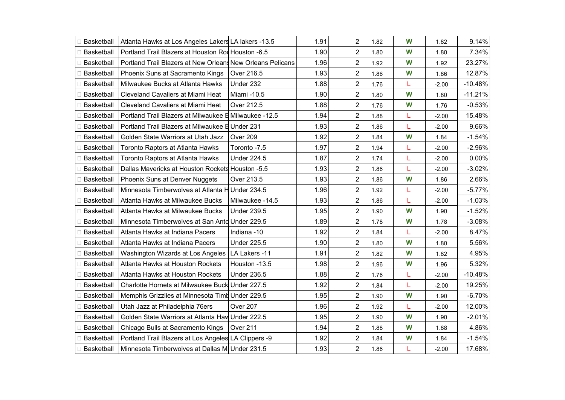| □ Basketball | Atlanta Hawks at Los Angeles Lakers LA lakers -13.5        |                    | 1.91 | $\overline{2}$ | 1.82 | W | 1.82    | 9.14%     |
|--------------|------------------------------------------------------------|--------------------|------|----------------|------|---|---------|-----------|
| □ Basketball | Portland Trail Blazers at Houston Rod Houston -6.5         |                    | 1.90 | $\overline{2}$ | 1.80 | W | 1.80    | 7.34%     |
| □ Basketball | Portland Trail Blazers at New Orleans New Orleans Pelicans |                    | 1.96 | $\overline{2}$ | 1.92 | W | 1.92    | 23.27%    |
| □ Basketball | Phoenix Suns at Sacramento Kings                           | Over 216.5         | 1.93 | $\overline{2}$ | 1.86 | W | 1.86    | 12.87%    |
| □ Basketball | Milwaukee Bucks at Atlanta Hawks                           | Under 232          | 1.88 | $\overline{2}$ | 1.76 | L | $-2.00$ | $-10.48%$ |
| □ Basketball | Cleveland Cavaliers at Miami Heat                          | Miami -10.5        | 1.90 | $\overline{2}$ | 1.80 | W | 1.80    | $-11.21%$ |
| □ Basketball | Cleveland Cavaliers at Miami Heat                          | Over 212.5         | 1.88 | $\overline{2}$ | 1.76 | W | 1.76    | $-0.53%$  |
| ∃ Basketball | Portland Trail Blazers at Milwaukee B Milwaukee -12.5      |                    | 1.94 | $\overline{2}$ | 1.88 | L | $-2.00$ | 15.48%    |
| □ Basketball | Portland Trail Blazers at Milwaukee B Under 231            |                    | 1.93 | $\overline{2}$ | 1.86 | L | $-2.00$ | 9.66%     |
| Basketball   | Golden State Warriors at Utah Jazz                         | Over 209           | 1.92 | $\overline{2}$ | 1.84 | W | 1.84    | $-1.54%$  |
| □ Basketball | Toronto Raptors at Atlanta Hawks                           | Toronto - 7.5      | 1.97 | $\overline{2}$ | 1.94 | L | $-2.00$ | $-2.96%$  |
| □ Basketball | Toronto Raptors at Atlanta Hawks                           | <b>Under 224.5</b> | 1.87 | $\overline{2}$ | 1.74 | L | $-2.00$ | $0.00\%$  |
| □ Basketball | Dallas Mavericks at Houston Rockets Houston -5.5           |                    | 1.93 | $\overline{2}$ | 1.86 | L | $-2.00$ | $-3.02%$  |
| □ Basketball | Phoenix Suns at Denver Nuggets                             | Over 213.5         | 1.93 | $\overline{2}$ | 1.86 | W | 1.86    | 2.66%     |
| □ Basketball | Minnesota Timberwolves at Atlanta H Under 234.5            |                    | 1.96 | $\overline{2}$ | 1.92 | L | $-2.00$ | $-5.77%$  |
| □ Basketball | Atlanta Hawks at Milwaukee Bucks                           | Milwaukee -14.5    | 1.93 | $\overline{2}$ | 1.86 | L | $-2.00$ | $-1.03%$  |
| □ Basketball | Atlanta Hawks at Milwaukee Bucks                           | <b>Under 239.5</b> | 1.95 | $\overline{2}$ | 1.90 | W | 1.90    | $-1.52%$  |
| Basketball   | Minnesota Timberwolves at San Anto Under 229.5             |                    | 1.89 | $\overline{2}$ | 1.78 | W | 1.78    | $-3.08%$  |
| □ Basketball | Atlanta Hawks at Indiana Pacers                            | Indiana-10         | 1.92 | $\overline{c}$ | 1.84 | L | $-2.00$ | 8.47%     |
| □ Basketball | Atlanta Hawks at Indiana Pacers                            | <b>Under 225.5</b> | 1.90 | $\overline{2}$ | 1.80 | W | 1.80    | 5.56%     |
| □ Basketball | Washington Wizards at Los Angeles   LA Lakers -11          |                    | 1.91 | $\overline{2}$ | 1.82 | W | 1.82    | 4.95%     |
| □ Basketball | Atlanta Hawks at Houston Rockets                           | Houston -13.5      | 1.98 | $\overline{2}$ | 1.96 | W | 1.96    | 5.32%     |
| □ Basketball | Atlanta Hawks at Houston Rockets                           | <b>Under 236.5</b> | 1.88 | $\overline{2}$ | 1.76 | L | $-2.00$ | $-10.48%$ |
| □ Basketball | Charlotte Hornets at Milwaukee Buck Under 227.5            |                    | 1.92 | $\overline{2}$ | 1.84 | L | $-2.00$ | 19.25%    |
| □ Basketball | Memphis Grizzlies at Minnesota Timt Under 229.5            |                    | 1.95 | $\overline{2}$ | 1.90 | W | 1.90    | $-6.70%$  |
| □ Basketball | Utah Jazz at Philadelphia 76ers                            | Over 207           | 1.96 | $\overline{2}$ | 1.92 | L | $-2.00$ | 12.00%    |
| □ Basketball | Golden State Warriors at Atlanta Haw Under 222.5           |                    | 1.95 | $\overline{2}$ | 1.90 | W | 1.90    | $-2.01%$  |
| □ Basketball | Chicago Bulls at Sacramento Kings                          | Over 211           | 1.94 | $\overline{2}$ | 1.88 | W | 1.88    | 4.86%     |
| □ Basketball | Portland Trail Blazers at Los Angeles LA Clippers -9       |                    | 1.92 | $\overline{2}$ | 1.84 | W | 1.84    | $-1.54%$  |
| □ Basketball | Minnesota Timberwolves at Dallas M. Under 231.5            |                    | 1.93 | $\overline{2}$ | 1.86 | L | $-2.00$ | 17.68%    |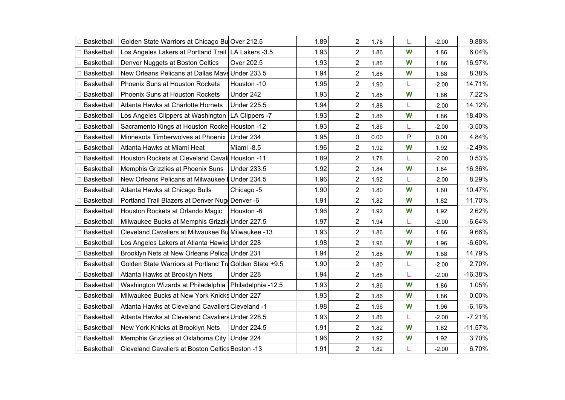| □ Basketball      | Golden State Warriors at Chicago Bu Over 212.5          |                    | 1.89 | $\overline{2}$ | 1.78 | L            | $-2.00$ | 9.88%     |
|-------------------|---------------------------------------------------------|--------------------|------|----------------|------|--------------|---------|-----------|
| □ Basketball      | Los Angeles Lakers at Portland Trail   LA Lakers -3.5   |                    | 1.93 | $\overline{2}$ | 1.86 | W            | 1.86    | 6.04%     |
| □ Basketball      | Denver Nuggets at Boston Celtics                        | Over 202.5         | 1.93 | $\overline{2}$ | 1.86 | W            | 1.86    | 16.97%    |
| □ Basketball      | New Orleans Pelicans at Dallas Mave Under 233.5         |                    | 1.94 | $\overline{2}$ | 1.88 | W            | 1.88    | 8.38%     |
| □ Basketball      | Phoenix Suns at Houston Rockets                         | Houston -10        | 1.95 | $\overline{2}$ | 1.90 | L            | $-2.00$ | 14.71%    |
| □ Basketball      | Phoenix Suns at Houston Rockets                         | Under 242          | 1.93 | $\overline{2}$ | 1.86 | W            | 1.86    | 7.22%     |
| □ Basketball      | Atlanta Hawks at Charlotte Hornets                      | <b>Under 225.5</b> | 1.94 | $\overline{2}$ | 1.88 | L            | $-2.00$ | 14.12%    |
| □ Basketball      | Los Angeles Clippers at Washington   LA Clippers -7     |                    | 1.93 | $\overline{2}$ | 1.86 | W            | 1.86    | 18.40%    |
| □ Basketball      | Sacramento Kings at Houston Rocke Houston -12           |                    | 1.93 | $\overline{2}$ | 1.86 | L            | $-2.00$ | $-3.50%$  |
| Basketball        | Minnesota Timberwolves at Phoenix   Under 234           |                    | 1.95 | $\mathbf 0$    | 0.00 | $\mathsf{P}$ | 0.00    | 4.84%     |
| Basketball        | Atlanta Hawks at Miami Heat                             | Miami -8.5         | 1.96 | $\overline{2}$ | 1.92 | W            | 1.92    | $-2.49%$  |
| □ Basketball      | Houston Rockets at Cleveland Cavali Houston -11         |                    | 1.89 | $\overline{2}$ | 1.78 | L            | $-2.00$ | 0.53%     |
| □ Basketball      | Memphis Grizzlies at Phoenix Suns                       | <b>Under 233.5</b> | 1.92 | $\overline{2}$ | 1.84 | W            | 1.84    | 16.36%    |
| □ Basketball      | New Orleans Pelicans at Milwaukee I Under 234.5         |                    | 1.96 | $\overline{2}$ | 1.92 | L            | $-2.00$ | 8.29%     |
| □ Basketball      | Atlanta Hawks at Chicago Bulls                          | Chicago -5         | 1.90 | $\overline{2}$ | 1.80 | W            | 1.80    | 10.47%    |
| □ Basketball      | Portland Trail Blazers at Denver Nug Denver -6          |                    | 1.91 | $\overline{2}$ | 1.82 | W            | 1.82    | 11.70%    |
| □ Basketball      | Houston Rockets at Orlando Magic                        | Houston -6         | 1.96 | $\overline{2}$ | 1.92 | W            | 1.92    | 2.62%     |
| Basketball        | Milwaukee Bucks at Memphis Grizzlic Under 227.5         |                    | 1.97 | $\overline{2}$ | 1.94 | L            | $-2.00$ | $-6.64%$  |
| □ Basketball      | Cleveland Cavaliers at Milwaukee Bu Milwaukee -13       |                    | 1.93 | $\overline{c}$ | 1.86 | W            | 1.86    | 9.66%     |
| □ Basketball      | Los Angeles Lakers at Atlanta Hawks Under 228           |                    | 1.98 | $\overline{2}$ | 1.96 | W            | 1.96    | $-6.60%$  |
| □ Basketball      | Brooklyn Nets at New Orleans Pelical Under 231          |                    | 1.94 | $\overline{2}$ | 1.88 | W            | 1.88    | 14.79%    |
| □ Basketball      | Golden State Warriors at Portland Tra Golden State +9.5 |                    | 1.90 | $\overline{2}$ | 1.80 | L            | $-2.00$ | 2.70%     |
| □ Basketball      | Atlanta Hawks at Brooklyn Nets                          | Under 228          | 1.94 | $\overline{2}$ | 1.88 | L            | $-2.00$ | $-16.38%$ |
| □ Basketball      | Washington Wizards at Philadelphia   Philadelphia -12.5 |                    | 1.93 | $\overline{2}$ | 1.86 | W            | 1.86    | 1.05%     |
| □ Basketball      | Milwaukee Bucks at New York Knicks Under 227            |                    | 1.93 | $\overline{2}$ | 1.86 | W            | 1.86    | $0.00\%$  |
| □ Basketball      | Atlanta Hawks at Cleveland Cavaliers Cleveland -1       |                    | 1.98 | $\overline{2}$ | 1.96 | W            | 1.96    | $-6.16%$  |
| $\Box$ Basketball | Atlanta Hawks at Cleveland Cavaliers Under 228.5        |                    | 1.93 | $\overline{c}$ | 1.86 | L            | $-2.00$ | $-7.21%$  |
| □ Basketball      | New York Knicks at Brooklyn Nets                        | <b>Under 224.5</b> | 1.91 | $\overline{2}$ | 1.82 | W            | 1.82    | $-11.57%$ |
| □ Basketball      | Memphis Grizzlies at Oklahoma City   Under 224          |                    | 1.96 | $\overline{2}$ | 1.92 | W            | 1.92    | 3.70%     |
| □ Basketball      | Cleveland Cavaliers at Boston Celtics Boston -13        |                    | 1.91 | $\overline{2}$ | 1.82 | L            | $-2.00$ | 6.70%     |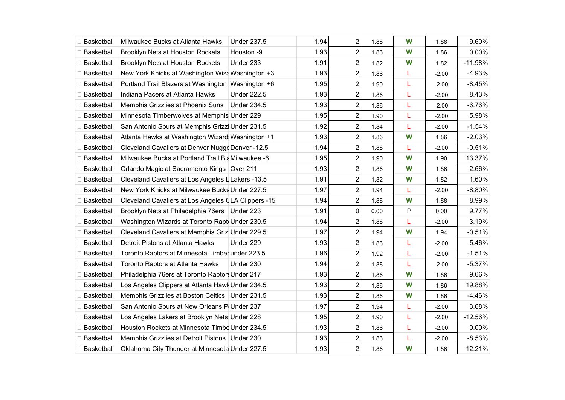| □ Basketball      | Milwaukee Bucks at Atlanta Hawks                    | <b>Under 237.5</b> | 1.94 | $\overline{2}$ | 1.88 | W | 1.88    | 9.60%     |
|-------------------|-----------------------------------------------------|--------------------|------|----------------|------|---|---------|-----------|
| □ Basketball      | Brooklyn Nets at Houston Rockets                    | Houston -9         | 1.93 | $\overline{2}$ | 1.86 | W | 1.86    | $0.00\%$  |
| <b>Basketball</b> | Brooklyn Nets at Houston Rockets                    | Under 233          | 1.91 | $\overline{c}$ | 1.82 | W | 1.82    | $-11.98%$ |
| □ Basketball      | New York Knicks at Washington Wiza Washington +3    |                    | 1.93 | $\overline{2}$ | 1.86 | L | $-2.00$ | $-4.93%$  |
| □ Basketball      | Portland Trail Blazers at Washington Washington +6  |                    | 1.95 | $\overline{2}$ | 1.90 | L | $-2.00$ | $-8.45%$  |
| Basketball        | Indiana Pacers at Atlanta Hawks                     | <b>Under 222.5</b> | 1.93 | $\overline{2}$ | 1.86 | L | $-2.00$ | 8.43%     |
| □ Basketball      | Memphis Grizzlies at Phoenix Suns                   | <b>Under 234.5</b> | 1.93 | $\overline{2}$ | 1.86 | L | $-2.00$ | $-6.76%$  |
| □ Basketball      | Minnesota Timberwolves at Memphis Under 229         |                    | 1.95 | $\overline{2}$ | 1.90 | L | $-2.00$ | 5.98%     |
| □ Basketball      | San Antonio Spurs at Memphis Grizz Under 231.5      |                    | 1.92 | $\overline{2}$ | 1.84 | L | $-2.00$ | $-1.54%$  |
| □ Basketball      | Atlanta Hawks at Washington Wizard Washington +1    |                    | 1.93 | $\overline{2}$ | 1.86 | W | 1.86    | $-2.03%$  |
| <b>Basketball</b> | Cleveland Cavaliers at Denver Nugge Denver -12.5    |                    | 1.94 | $\mathbf 2$    | 1.88 | L | $-2.00$ | $-0.51%$  |
| □ Basketball      | Milwaukee Bucks at Portland Trail Bla Milwaukee -6  |                    | 1.95 | $\overline{2}$ | 1.90 | W | 1.90    | 13.37%    |
| □ Basketball      | Orlando Magic at Sacramento Kings   Over 211        |                    | 1.93 | $\overline{2}$ | 1.86 | W | 1.86    | 2.66%     |
| □ Basketball      | Cleveland Cavaliers at Los Angeles L Lakers -13.5   |                    | 1.91 | $\overline{c}$ | 1.82 | W | 1.82    | 1.60%     |
| □ Basketball      | New York Knicks at Milwaukee Bucks Under 227.5      |                    | 1.97 | $\overline{2}$ | 1.94 | L | $-2.00$ | $-8.80\%$ |
| □ Basketball      | Cleveland Cavaliers at Los Angeles (LA Clippers -15 |                    | 1.94 | $\overline{2}$ | 1.88 | W | 1.88    | 8.99%     |
| □ Basketball      | Brooklyn Nets at Philadelphia 76ers   Under 223     |                    | 1.91 | 0              | 0.00 | P | 0.00    | 9.77%     |
| □ Basketball      | Washington Wizards at Toronto Rapt Under 230.5      |                    | 1.94 | $\overline{c}$ | 1.88 | L | $-2.00$ | 3.19%     |
| □ Basketball      | Cleveland Cavaliers at Memphis Griz Under 229.5     |                    | 1.97 | $\overline{2}$ | 1.94 | W | 1.94    | $-0.51%$  |
| □ Basketball      | Detroit Pistons at Atlanta Hawks                    | Under 229          | 1.93 | $\overline{2}$ | 1.86 | L | $-2.00$ | 5.46%     |
| □ Basketball      | Toronto Raptors at Minnesota Timber under 223.5     |                    | 1.96 | $\mathbf 2$    | 1.92 | L | $-2.00$ | $-1.51%$  |
| □ Basketball      | Toronto Raptors at Atlanta Hawks                    | Under 230          | 1.94 | $\overline{c}$ | 1.88 | L | $-2.00$ | $-5.37%$  |
| □ Basketball      | Philadelphia 76ers at Toronto Raptor: Under 217     |                    | 1.93 | $\overline{c}$ | 1.86 | W | 1.86    | 9.66%     |
| □ Basketball      | Los Angeles Clippers at Atlanta Hawl Under 234.5    |                    | 1.93 | $\overline{2}$ | 1.86 | W | 1.86    | 19.88%    |
| □ Basketball      | Memphis Grizzlies at Boston Celtics   Under 231.5   |                    | 1.93 | $\overline{2}$ | 1.86 | W | 1.86    | $-4.46%$  |
| □ Basketball      | San Antonio Spurs at New Orleans P Under 237        |                    | 1.97 | $\overline{2}$ | 1.94 | L | $-2.00$ | 3.68%     |
| □ Basketball      | Los Angeles Lakers at Brooklyn Nets Under 228       |                    | 1.95 | $\mathbf 2$    | 1.90 | L | $-2.00$ | $-12.56%$ |
| □ Basketball      | Houston Rockets at Minnesota Timbe Under 234.5      |                    | 1.93 | $\overline{2}$ | 1.86 | L | $-2.00$ | $0.00\%$  |
| □ Basketball      | Memphis Grizzlies at Detroit Pistons   Under 230    |                    | 1.93 | $\overline{2}$ | 1.86 | L | $-2.00$ | $-8.53%$  |
| □ Basketball      | Oklahoma City Thunder at Minnesota Under 227.5      |                    | 1.93 | $\overline{2}$ | 1.86 | W | 1.86    | 12.21%    |